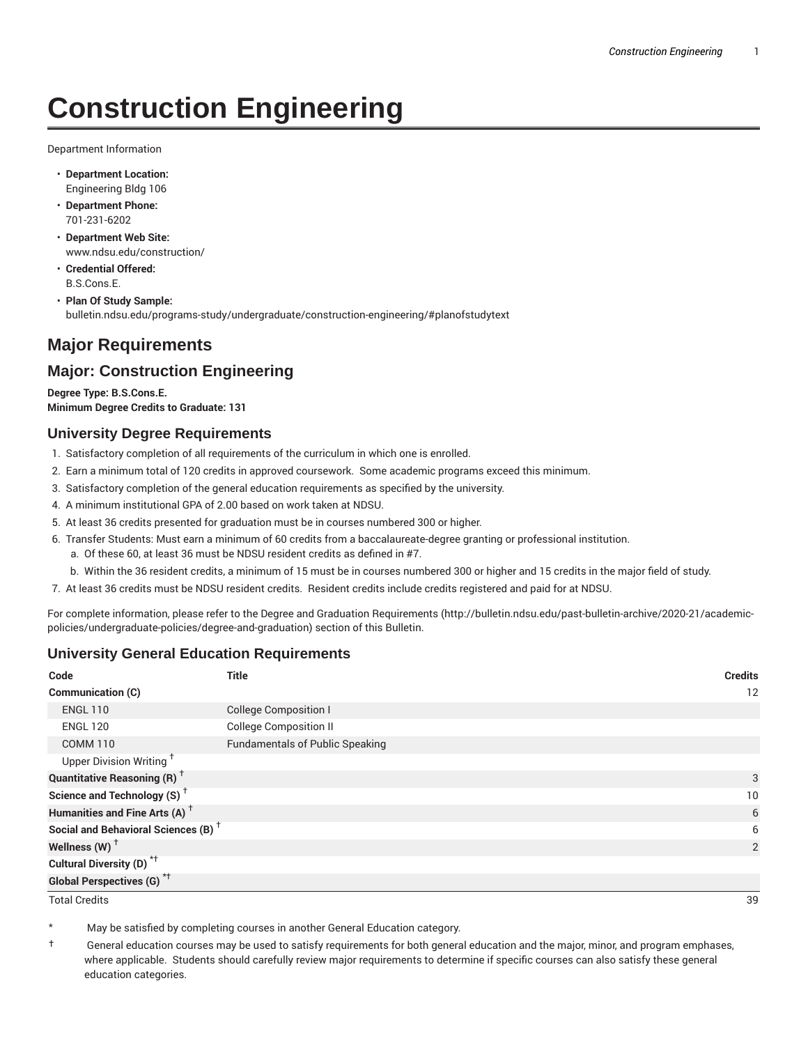# **Construction Engineering**

Department Information

- **Department Location:** Engineering Bldg 106
- **Department Phone:** 701-231-6202
- **Department Web Site:** www.ndsu.edu/construction/
- **Credential Offered:** B.S.Cons.E.
- **Plan Of Study Sample:** bulletin.ndsu.edu/programs-study/undergraduate/construction-engineering/#planofstudytext

## **Major Requirements**

## **Major: Construction Engineering**

**Degree Type: B.S.Cons.E. Minimum Degree Credits to Graduate: 131**

#### **University Degree Requirements**

- 1. Satisfactory completion of all requirements of the curriculum in which one is enrolled.
- 2. Earn a minimum total of 120 credits in approved coursework. Some academic programs exceed this minimum.
- 3. Satisfactory completion of the general education requirements as specified by the university.
- 4. A minimum institutional GPA of 2.00 based on work taken at NDSU.
- 5. At least 36 credits presented for graduation must be in courses numbered 300 or higher.
- 6. Transfer Students: Must earn a minimum of 60 credits from a baccalaureate-degree granting or professional institution.
	- a. Of these 60, at least 36 must be NDSU resident credits as defined in #7.
	- b. Within the 36 resident credits, a minimum of 15 must be in courses numbered 300 or higher and 15 credits in the major field of study.
- 7. At least 36 credits must be NDSU resident credits. Resident credits include credits registered and paid for at NDSU.

For complete information, please refer to the Degree and Graduation Requirements (http://bulletin.ndsu.edu/past-bulletin-archive/2020-21/academicpolicies/undergraduate-policies/degree-and-graduation) section of this Bulletin.

#### **University General Education Requirements**

| Code                                            | <b>Title</b>                           | <b>Credits</b> |
|-------------------------------------------------|----------------------------------------|----------------|
| Communication (C)                               |                                        | 12             |
| <b>ENGL 110</b>                                 | <b>College Composition I</b>           |                |
| <b>ENGL 120</b>                                 | <b>College Composition II</b>          |                |
| <b>COMM 110</b>                                 | <b>Fundamentals of Public Speaking</b> |                |
| Upper Division Writing <sup>+</sup>             |                                        |                |
| <b>Quantitative Reasoning (R)</b> <sup>†</sup>  |                                        | 3              |
| Science and Technology (S) <sup>+</sup>         |                                        | 10             |
| Humanities and Fine Arts (A) <sup>+</sup>       |                                        | 6              |
| Social and Behavioral Sciences (B) <sup>+</sup> |                                        | 6              |
| Wellness $(W)$ <sup>+</sup>                     |                                        | 2              |
| Cultural Diversity (D) <sup>*†</sup>            |                                        |                |
| <b>Global Perspectives (G)<sup>*†</sup></b>     |                                        |                |

Total Credits 39

May be satisfied by completing courses in another General Education category.

† General education courses may be used to satisfy requirements for both general education and the major, minor, and program emphases, where applicable. Students should carefully review major requirements to determine if specific courses can also satisfy these general education categories.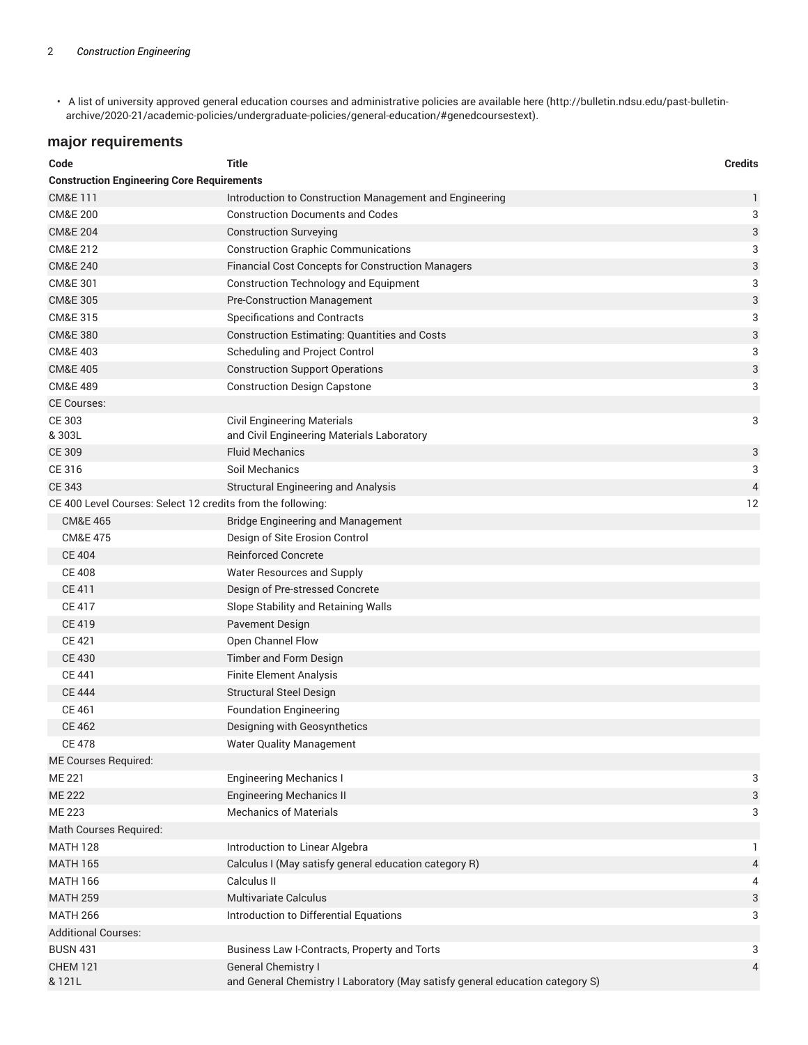• A list of university approved general education courses and administrative policies are available here (http://bulletin.ndsu.edu/past-bulletinarchive/2020-21/academic-policies/undergraduate-policies/general-education/#genedcoursestext).

## **major requirements**

| Code                                                        | <b>Title</b>                                                                  | <b>Credits</b>            |
|-------------------------------------------------------------|-------------------------------------------------------------------------------|---------------------------|
| <b>Construction Engineering Core Requirements</b>           |                                                                               |                           |
| <b>CM&amp;E111</b>                                          | Introduction to Construction Management and Engineering                       | $\mathbf{1}$              |
| <b>CM&amp;E 200</b>                                         | <b>Construction Documents and Codes</b>                                       | 3                         |
| <b>CM&amp;E 204</b>                                         | <b>Construction Surveying</b>                                                 | 3                         |
| <b>CM&amp;E 212</b>                                         | <b>Construction Graphic Communications</b>                                    | 3                         |
| <b>CM&amp;E 240</b>                                         | <b>Financial Cost Concepts for Construction Managers</b>                      | $\ensuremath{\mathsf{3}}$ |
| CM&E 301                                                    | <b>Construction Technology and Equipment</b>                                  | 3                         |
| <b>CM&amp;E 305</b>                                         | <b>Pre-Construction Management</b>                                            | 3                         |
| CM&E 315                                                    | Specifications and Contracts                                                  | 3                         |
| <b>CM&amp;E 380</b>                                         | <b>Construction Estimating: Quantities and Costs</b>                          | 3                         |
| <b>CM&amp;E 403</b>                                         | Scheduling and Project Control                                                | 3                         |
| <b>CM&amp;E 405</b>                                         | <b>Construction Support Operations</b>                                        | $\ensuremath{\mathsf{3}}$ |
| <b>CM&amp;E 489</b>                                         | <b>Construction Design Capstone</b>                                           | 3                         |
| <b>CE Courses:</b>                                          |                                                                               |                           |
| CE 303                                                      | <b>Civil Engineering Materials</b>                                            | 3                         |
| & 303L                                                      | and Civil Engineering Materials Laboratory                                    |                           |
| <b>CE 309</b>                                               | <b>Fluid Mechanics</b>                                                        | $\sqrt{3}$                |
| CE 316                                                      | Soil Mechanics                                                                | 3                         |
| <b>CE 343</b>                                               | <b>Structural Engineering and Analysis</b>                                    | 4                         |
| CE 400 Level Courses: Select 12 credits from the following: |                                                                               | 12                        |
| <b>CM&amp;E 465</b>                                         | <b>Bridge Engineering and Management</b>                                      |                           |
| <b>CM&amp;E 475</b>                                         | Design of Site Erosion Control                                                |                           |
| <b>CE 404</b>                                               | <b>Reinforced Concrete</b>                                                    |                           |
| <b>CE 408</b>                                               | Water Resources and Supply                                                    |                           |
| CE 411                                                      | Design of Pre-stressed Concrete                                               |                           |
| <b>CE 417</b>                                               | Slope Stability and Retaining Walls                                           |                           |
| <b>CE 419</b>                                               | Pavement Design                                                               |                           |
| <b>CE 421</b>                                               | Open Channel Flow                                                             |                           |
| <b>CE 430</b>                                               | Timber and Form Design                                                        |                           |
| <b>CE 441</b>                                               | <b>Finite Element Analysis</b>                                                |                           |
| <b>CE 444</b>                                               | <b>Structural Steel Design</b>                                                |                           |
| CE 461                                                      | <b>Foundation Engineering</b>                                                 |                           |
| <b>CE 462</b>                                               | Designing with Geosynthetics                                                  |                           |
| <b>CE 478</b>                                               | <b>Water Quality Management</b>                                               |                           |
| ME Courses Required:                                        |                                                                               |                           |
| <b>ME 221</b>                                               | <b>Engineering Mechanics I</b>                                                | 3                         |
| <b>ME 222</b>                                               | <b>Engineering Mechanics II</b>                                               | 3                         |
| <b>ME 223</b>                                               | <b>Mechanics of Materials</b>                                                 | 3                         |
| Math Courses Required:                                      |                                                                               |                           |
| <b>MATH 128</b>                                             | Introduction to Linear Algebra                                                | 1                         |
| <b>MATH 165</b>                                             | Calculus I (May satisfy general education category R)                         | 4                         |
| <b>MATH 166</b>                                             | Calculus II                                                                   | 4                         |
| <b>MATH 259</b>                                             | <b>Multivariate Calculus</b>                                                  | 3                         |
| <b>MATH 266</b>                                             | Introduction to Differential Equations                                        | 3                         |
| <b>Additional Courses:</b>                                  |                                                                               |                           |
| <b>BUSN 431</b>                                             | Business Law I-Contracts, Property and Torts                                  | 3                         |
| <b>CHEM 121</b>                                             | <b>General Chemistry I</b>                                                    | $\overline{4}$            |
| & 121L                                                      | and General Chemistry I Laboratory (May satisfy general education category S) |                           |